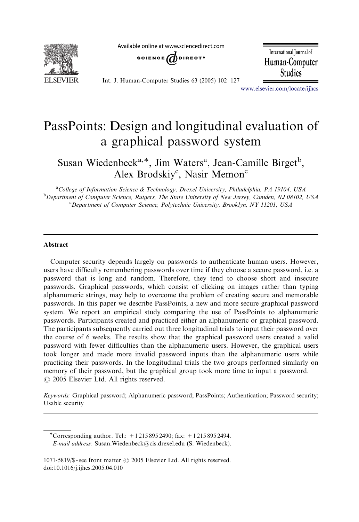**ELSEVIER** 

Available online at www.sciencedirect.com



International Journal of Human-Computer **Studies** 

Int. J. Human-Computer Studies 63 (2005) 102–127

www.elsevier.com/locate/ijhcs

# PassPoints: Design and longitudinal evaluation of a graphical password system

Susan Wiedenbeck<sup>a,\*</sup>, Jim Waters<sup>a</sup>, Jean-Camille Birget<sup>b</sup>, Alex Brodskiy<sup>c</sup>, Nasir Memon<sup>c</sup>

<sup>a</sup>College of Information Science & Technology, Drexel University, Philadelphia, PA 19104, USA <sup>b</sup>Department of Computer Science, Rutgers, The State University of New Jersey, Camden, NJ 08102, USA <sup>c</sup>Department of Computer Science, Polytechnic University, Brooklyn, NY 11201, USA

#### Abstract

Computer security depends largely on passwords to authenticate human users. However, users have difficulty remembering passwords over time if they choose a secure password, i.e. a password that is long and random. Therefore, they tend to choose short and insecure passwords. Graphical passwords, which consist of clicking on images rather than typing alphanumeric strings, may help to overcome the problem of creating secure and memorable passwords. In this paper we describe PassPoints, a new and more secure graphical password system. We report an empirical study comparing the use of PassPoints to alphanumeric passwords. Participants created and practiced either an alphanumeric or graphical password. The participants subsequently carried out three longitudinal trials to input their password over the course of 6 weeks. The results show that the graphical password users created a valid password with fewer difficulties than the alphanumeric users. However, the graphical users took longer and made more invalid password inputs than the alphanumeric users while practicing their passwords. In the longitudinal trials the two groups performed similarly on memory of their password, but the graphical group took more time to input a password.  $\odot$  2005 Elsevier Ltd. All rights reserved.

Keywords: Graphical password; Alphanumeric password; PassPoints; Authentication; Password security; Usable security

\*Corresponding author. Tel.:  $+12158952490$ ; fax:  $+12158952494$ . E-mail address: Susan.Wiedenbeck@cis.drexel.edu (S. Wiedenbeck).

<sup>1071-5819/\$ -</sup> see front matter  $\odot$  2005 Elsevier Ltd. All rights reserved. doi:10.1016/j.ijhcs.2005.04.010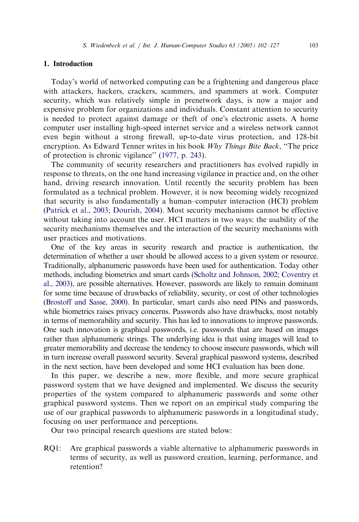## 1. Introduction

Today's world of networked computing can be a frightening and dangerous place with attackers, hackers, crackers, scammers, and spammers at work. Computer security, which was relatively simple in prenetwork days, is now a major and expensive problem for organizations and individuals. Constant attention to security is needed to protect against damage or theft of one's electronic assets. A home computer user installing high-speed internet service and a wireless network cannot even begin without a strong fire[wall, up-to-d](#page-25-0)ate virus protection, and 128-bit encryption. As Edward Tenner writes in his book Why Things Bite Back, ''The price of protection is chronic vigilance'' (1977, p. 243).

The community of security researchers and practitioners has evolved rapidly in response to threats, on the one hand increasing vigilance in practice and, on the other hand, driving research innovation. Until recently the security problem has been [formulated as a tech](#page-25-0)[nical problem.](#page-24-0) However, it is now becoming widely recognized that security is also fundamentally a human–computer interaction (HCI) problem (Patrick et al., 2003; Dourish, 2004). Most security mechanisms cannot be effective without taking into account the user. HCI matters in two ways: the usability of the security mechanisms themselves and the interaction of the security mechanisms with user practices and motivations.

One of the key areas in security research and practice is authentication, the determination of whether a user should be allo[wed access to a given system](#page-25-0) [or resource.](#page-24-0) [Tradition](#page-24-0)ally, alphanumeric passwords have been used for authentication. Today other methods, including biometrics and smart cards (Scholtz and Johnson, 2002; Coventry et [al., 2003\), are possible alte](#page-24-0)rnatives. However, passwords are likely to remain dominant for some time because of drawbacks of reliability, security, or cost of other technologies (Brostoff and Sasse, 2000). In particular, smart cards also need PINs and passwords, while biometrics raises privacy concerns. Passwords also have drawbacks, most notably in terms of memorability and security. This has led to innovations to improve passwords. One such innovation is graphical passwords, i.e. passwords that are based on images rather than alphanumeric strings. The underlying idea is that using images will lead to greater memorability and decrease the tendency to choose insecure passwords, which will in turn increase overall password security. Several graphical password systems, described in the next section, have been developed and some HCI evaluation has been done.

In this paper, we describe a new, more flexible, and more secure graphical password system that we have designed and implemented. We discuss the security properties of the system compared to alphanumeric passwords and some other graphical password systems. Then we report on an empirical study comparing the use of our graphical passwords to alphanumeric passwords in a longitudinal study, focusing on user performance and perceptions.

Our two principal research questions are stated below:

RQ1: Are graphical passwords a viable alternative to alphanumeric passwords in terms of security, as well as password creation, learning, performance, and retention?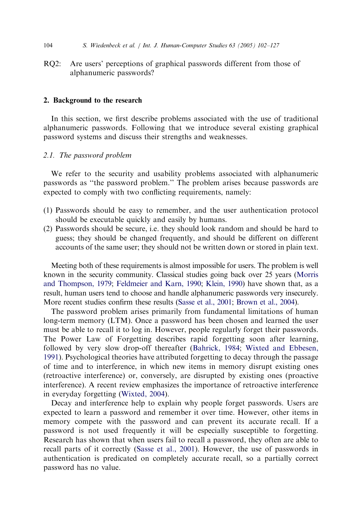RQ2: Are users' perceptions of graphical passwords different from those of alphanumeric passwords?

# 2. Background to the research

In this section, we first describe problems associated with the use of traditional alphanumeric passwords. Following that we introduce several existing graphical password systems and discuss their strengths and weaknesses.

# 2.1. The password problem

We refer to the security and usability problems associated with alphanumeric passwords as ''the password problem.'' The problem arises because passwords are expected to comply with two conflicting requirements, namely:

- (1) Passwords should be easy to remember, and the user authentication protocol should be executable quickly and easily by humans.
- (2) Passwords should be secure, i.e. they should look random and should be hard to guess; they should be changed frequently, and should be different on different accounts of the same user; they should not be written down or stored in plain text.

[Meeting both of the](#page-25-0)s[e requirements is almost impossible for us](#page-24-0)ers. The problem is well known in the security community. Classical studies going back over 25 years (Morris and Thompson, 1979; Feldmeier and Karn, 1990; [Klein, 19](#page-25-0)[90\) have shown th](#page-24-0)at, as a result, human users tend to choose and handle alphanumeric passwords very insecurely. More recent studies confirm these results (Sasse et al., 2001; Brown et al., 2004).

The password problem arises primarily from fundamental limitations of human long-term memory (LTM). Once a password has been chosen and learned the user must be able to recall it to log in. However, [people regularly](#page-24-0) [forget their passwords.](#page-25-0) [The](#page-25-0) Power Law of Forgetting describes rapid forgetting soon after learning, followed by very slow drop-off thereafter (Bahrick, 1984; Wixted and Ebbesen, 1991). Psychological theories have attributed forgetting to decay through the passage of time and to interference, in which new items in memory disrupt existing ones (retroactive interferenc[e\) or, convers](#page-25-0)ely, are disrupted by existing ones (proactive interference). A recent review emphasizes the importance of retroactive interference in everyday forgetting (Wixted, 2004).

Decay and interference help to explain why people forget passwords. Users are expected to learn a password and remember it over time. However, other items in memory compete with the password and can prevent its accurate recall. If a password is not used freq[uently it will be](#page-25-0) especially susceptible to forgetting. Research has shown that when users fail to recall a password, they often are able to recall parts of it correctly (Sasse et al., 2001). However, the use of passwords in authentication is predicated on completely accurate recall, so a partially correct password has no value.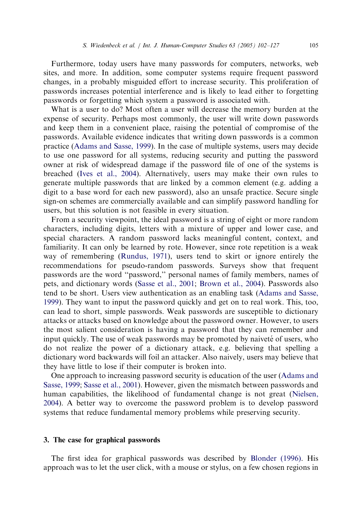Furthermore, today users have many passwords for computers, networks, web sites, and more. In addition, some computer systems require frequent password changes, in a probably misguided effort to increase security. This proliferation of passwords increases potential interference and is likely to lead either to forgetting passwords or forgetting which system a password is associated with.

What is a user to do? Most often a user will decrease the memory burden at the expense of security. Perhaps most commonly, the user will write down passwords and kee[p them in a convenient](#page-24-0) place, raising the potential of compromise of the passwords. Available evidence indicates that writing down passwords is a common practice (Adams and Sasse, 1999). In the case of multiple systems, users may decide to use one [password for all](#page-24-0) systems, reducing security and putting the password owner at risk of widespread damage if the password file of one of the systems is breached (Ives et al., 2004). Alternatively, users may make their own rules to generate multiple passwords that are linked by a common element (e.g. adding a digit to a base word for each new password), also an unsafe practice. Secure single sign-on schemes are commercially available and can simplify password handling for users, but this solution is not feasible in every situation.

From a security viewpoint, the ideal password is a string of eight or more random characters, including digits, letters with a mixture of upper and lower case, and special characters. A [random passw](#page-25-0)ord lacks meaningful content, context, and familiarity. It can only be learned by rote. However, since rote repetition is a weak way of remembering (Rundus, 1971), users tend to skirt or ignore entirely the recommendations for pseu[do-random passw](#page-25-0)[ords. Surveys sho](#page-24-0)w that frequent passwords are the word ''password,'' personal names of family [members, names of](#page-24-0) [pets,](#page-24-0) and dictionary words (Sasse et al., 2001; Brown et al., 2004). Passwords also tend to be short. Users view authentication as an enabling task (Adams and Sasse, 1999). They want to input the password quickly and get on to real work. This, too, can lead to short, simple passwords. Weak passwords are susceptible to dictionary attacks or attacks based on knowledge about the password owner. However, to users the most salient consideration is having a password that they can remember and input quickly. The use of weak passwords may be promoted by naiveté of users, who do not realize the power of a dictionary attack, e.g. believing that spelling a dictionary word backwards will foil an attacker. Also naively, users may [believe that](#page-24-0) [they have l](#page-24-0)i[ttle to lose if thei](#page-25-0)r computer is broken into.

One approach to increasing password security is education of the user (Ad[ams and](#page-25-0) [Sasse](#page-25-0), 1999; Sasse et al., 2001). However, given the mismatch between passwords and human capabilities, the likelihood of fundamental change is not great (Nielsen, 2004). A better way to overcome the password problem is to develop password systems that reduce fundamental memory problems while preserving security.

# 3. The case for graphical passwords

The first idea for graphical passwords was described by Blonder (1996). His approach was to let the user click, with a mouse or stylus, on a few chosen regions in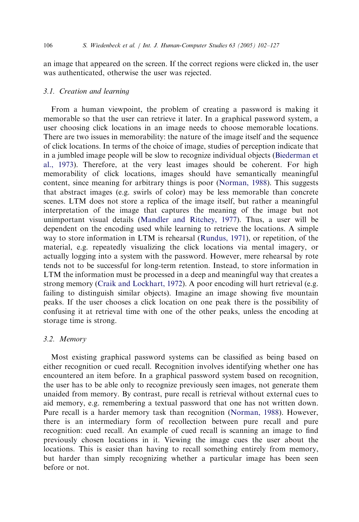an image that appeared on the screen. If the correct regions were clicked in, the user was authenticated, otherwise the user was rejected.

# 3.1. Creation and learning

From a human viewpoint, the problem of creating a password is making it memorable so that the user can retrieve it later. In a graphical password system, a user choosing click locations in an image needs to choose memorable locations. There are two issues in memorability: the nature of the image itself and [the sequence](#page-24-0) [of click lo](#page-24-0)cations. In terms of the choice of image, studies of perception indicate that in a jumbled image people will be slow to recognize individual objects (Biederman et al., 1973). Therefore, at the very least images s[hould be cohe](#page-25-0)rent. For high memorability of click locations, images should have semantically meaningful content, since meaning for arbitrary things is poor (Norman, 1988). This suggests that abstract images (e.g. swirls of color) may be less memorable than concrete scenes. LTM does not store [a replica of the image itself,](#page-24-0) but rather a meaningful interpretation of the image that captures the meaning of the image but not unimportant visual details (Mandler and Ri[tchey, 1977\). T](#page-25-0)hus, a user will be dependent on the encoding used while learning to retrieve the locations. A simple way to store information in LTM is rehearsal (Rundus, 1971), or repetition, of the material, e.g. repeatedly visualizing the click locations via mental imagery, or actually logging into a system with the password. However, mere rehearsal by rote tends not to be [successful for long-term re](#page-24-0)tention. Instead, to store information in LTM the information must be processed in a deep and meaningful way that creates a strong memory (Craik and Lockhart, 1972). A poor encoding will hurt retrieval (e.g. failing to distinguish similar objects). Imagine an image showing five mountain peaks. If the user chooses a click location on one peak there is the possibility of confusing it at retrieval time with one of the other peaks, unless the encoding at storage time is strong.

# 3.2. Memory

Most existing graphical password systems can be classified as being based on either recognition or cued recall. Recognition involves identifying whether one has encountered an item before. In a graphical password system based on recognition, the user has to be able only to recognize previously seen images, not generate them unaided from memory. By contrast, pure recall is retriev[al without exte](#page-25-0)rnal cues to aid memory, e.g. remembering a textual password that one has not written down. Pure recall is a harder memory task than recognition (Norman, 1988). However, there is an intermediary form of recollection between pure recall and pure recognition: cued recall. An example of cued recall is scanning an image to find previously chosen locations in it. Viewing the image cues the user about the locations. This is easier than having to recall something entirely from memory, but harder than simply recognizing whether a particular image has been seen before or not.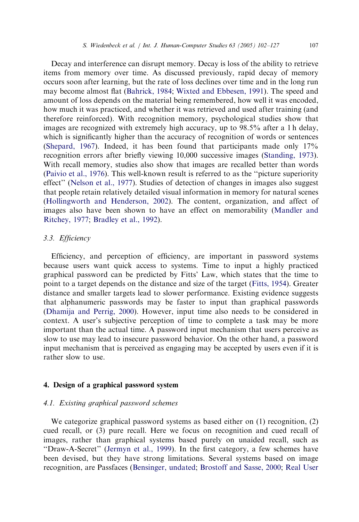Decay and interference can disrupt memory. Decay is loss of the ability to retrieve items from memory ove[r time. As dis](#page-24-0)[cussed previously, rapid de](#page-25-0)cay of memory occurs soon after learning, but the rate of loss declines over time and in the long run may become almost flat (Bahrick, 1984; Wixted and Ebbesen, 1991). The speed and amount of loss depends on the material being remembered, how well it was encoded, how much it was practiced, and whether it was retrieved and used after training (and therefore reinforced). With recognition memory, psychological studies show that i[mages are recog](#page-25-0)nized with extremely high accuracy, up to 98.5% after a 1 h delay, which is significantly higher than the accuracy of recognition of w[ords or sentence](#page-25-0)s (Shepard, 1967). Indeed, it has been found that participants made only  $17\%$ [recognition errors](#page-25-0) after briefly viewing 10,000 successive images (Standing, 1973). With re[call memory, studie](#page-25-0)s also show that images are recalled better than words (Paivio et al., 1976). This well-known result is referred to as the ''picture superiority [effect'' \(Nelson et al., 1977\). Studies o](#page-24-0)f detection of changes in images also suggest that people retain relatively detailed visual information in memory for [natural scenes](#page-24-0) [\(Hollingworth and Henderson, 20](#page-24-0)02). The content, organization, and affect of images also have been shown to have an effect on memorability (Mandler and Ritchey, 1977; Bradley et al., 1992).

# 3.3. Efficiency

Efficiency, and perception of efficiency, are important in password systems because users want quick access to systems. Time to inpu[t a highly](#page-24-0) practiced graphical password can be predicted by Fitts' Law, which states that the time to point to a target depends on the distance and size of the target (Fitts, 1954). Greater [distance and smaller targets](#page-24-0) lead to slower performance. Existing evidence suggests that alphanumeric passwords may be faster to input than graphical passwords (Dhamija and Perrig, 2000). However, input time also needs to be considered in context. A user's subjective perception of time to complete a task may be more important than the actual time. A password input mechanism that users perceive as slow to use may lead to insecure password behavior. On the other hand, a password input mechanism that is perceived as engaging may be accepted by users even if it is rather slow to use.

# 4. Design of a graphical password system

# 4.1. Existing graphical password schemes

We categorize graphical password systems as based either on (1) recognition, (2) cued recall, or (3) [pure recall. Here w](#page-24-0)e focus on recognition and cued recall of images, rather than graphical systems based purely on unaided recall, such as ''Draw-A-Secret'' (Jermyn [et al., 1999\). In th](#page-24-0)e [first category, a few sch](#page-24-0)[emes have](#page-25-0) been devised, but they have strong limitations. Several systems based on image recognition, are Passfaces (Bensinger, undated; Brostoff and Sasse, 2000; Real User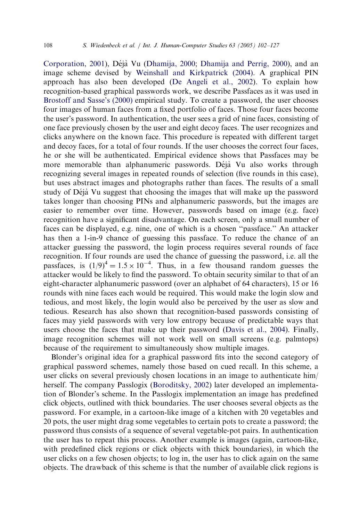Corporation, 2001), Déjà Vu (Dhamija, 2000; [Dhamija and Pe](#page-24-0)rrig, 2000), and an image scheme devised by Weinshall and Kirkpatrick (2004). A graphical PIN [approach has also been d](#page-24-0)eveloped (De Angeli et al., 2002). To explain how recognition-based graphical passwords work, we describe Passfaces as it was used in Brostoff and Sasse's (2000) empirical study. To create a password, the user chooses four images of human faces from a fixed portfolio of faces. Those four faces become the user's password. In authentication, the user sees a grid of nine faces, consisting of one face previously chosen by the user and eight decoy faces. The user recognizes and clicks anywhere on the known face. This procedure is repeated with different target and decoy faces, for a total of four rounds. If the user chooses the correct four faces, he or she will be authenticated. Empirical evidence shows that Passfaces may be more memorable than alphanumeric passwords. Déjà Vu also works through recognizing several images in repeated rounds of selection (five rounds in this case), but uses abstract images and photographs rather than faces. The results of a small study of Déjà Vu suggest that choosing the images that will make up the password takes longer than choosing PINs and alphanumeric passwords, but the images are easier to remember over time. However, passwords based on image (e.g. face) recognition have a significant disadvantage. On each screen, only a small number of faces can be displayed, e.g. nine, one of which is a chosen ''passface.'' An attacker has then a 1-in-9 chance of guessing this passface. To reduce the chance of an attacker guessing the password, the login process requires several rounds of face recognition. If four rounds are used the chance of guessing the password, i.e. all the passfaces, is  $(1/9)^4 = 1.5 \times 10^{-4}$ . Thus, in a few thousand random guesses the attacker would be likely to find the password. To obtain security similar to that of an eight-character alphanumeric password (over an alphabet of 64 characters), 15 or 16 rounds with nine faces each would be required. This would make the login slow and tedious, and most likely, the login would also be perceived by the user as slow and tedious. Research has also shown that recognition-ba[sed passwords con](#page-24-0)sisting of faces may yield passwords with very low entropy because of predictable ways that users choose the faces that make up their password (Davis et al., 2004). Finally, image recognition schemes will not work well on small screens (e.g. palmtops) because of the requirement to simultaneously show multiple images.

Blonder's original idea for a graphical password fits into the second category of graphical password schemes, na[mely those based](#page-24-0) on cued recall. In this scheme, a user clicks on several previously chosen locations in an image to authenticate him/ herself. The company Passlogix (Boroditsky, 2002) later developed an implementation of Blonder's scheme. In the Passlogix implementation an image has predefined click objects, outlined with thick boundaries. The user chooses several objects as the password. For example, in a cartoon-like image of a kitchen with 20 vegetables and 20 pots, the user might drag some vegetables to certain pots to create a password; the password thus consists of a sequence of several vegetable-pot pairs. In authentication the user has to repeat this process. Another example is images (again, cartoon-like, with predefined click regions or click objects with thick boundaries), in which the user clicks on a few chosen objects; to log in, the user has to click again on the same objects. The drawback of this scheme is that the number of available click regions is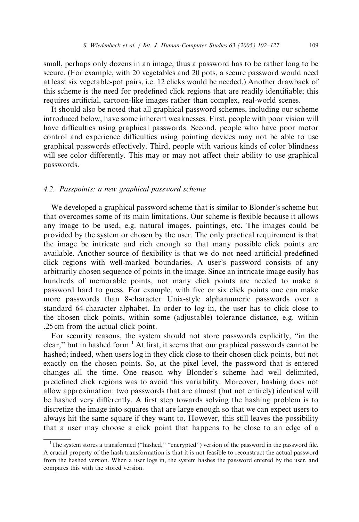small, perhaps only dozens in an image; thus a password has to be rather long to be secure. (For example, with 20 vegetables and 20 pots, a secure password would need at least six vegetable-pot pairs, i.e. 12 clicks would be needed.) Another drawback of this scheme is the need for predefined click regions that are readily identifiable; this requires artificial, cartoon-like images rather than complex, real-world scenes.

It should also be noted that all graphical password schemes, including our scheme introduced below, have some inherent weaknesses. First, people with poor vision will have difficulties using graphical passwords. Second, people who have poor motor control and experience difficulties using pointing devices may not be able to use graphical passwords effectively. Third, people with various kinds of color blindness will see color differently. This may or may not affect their ability to use graphical passwords.

#### 4.2. Passpoints: a new graphical password scheme

We developed a graphical password scheme that is similar to Blonder's scheme but that overcomes some of its main limitations. Our scheme is flexible because it allows any image to be used, e.g. natural images, paintings, etc. The images could be provided by the system or chosen by the user. The only practical requirement is that the image be intricate and rich enough so that many possible click points are available. Another source of flexibility is that we do not need artificial predefined click regions with well-marked boundaries. A user's password consists of any arbitrarily chosen sequence of points in the image. Since an intricate image easily has hundreds of memorable points, not many click points are needed to make a password hard to guess. For example, with five or six click points one can make more passwords than 8-character Unix-style alphanumeric passwords over a standard 64-character alphabet. In order to log in, the user has to click close to the chosen click points, within some (adjustable) tolerance distance, e.g. within .25 cm from the actual click point.

For security reasons, the system should not store passwords explicitly, ''in the clear," but in hashed form.<sup>1</sup> At first, it seems that our graphical passwords cannot be hashed; indeed, when users log in they click close to their chosen click points, but not exactly on the chosen points. So, at the pixel level, the password that is entered changes all the time. One reason why Blonder's scheme had well delimited, predefined click regions was to avoid this variability. Moreover, hashing does not allow approximation: two passwords that are almost (but not entirely) identical will be hashed very differently. A first step towards solving the hashing problem is to discretize the image into squares that are large enough so that we can expect users to always hit the same square if they want to. However, this still leaves the possibility that a user may choose a click point that happens to be close to an edge of a

<sup>&</sup>lt;sup>1</sup>The system stores a transformed ("hashed," "encrypted") version of the password in the password file. A crucial property of the hash transformation is that it is not feasible to reconstruct the actual password from the hashed version. When a user logs in, the system hashes the password entered by the user, and compares this with the stored version.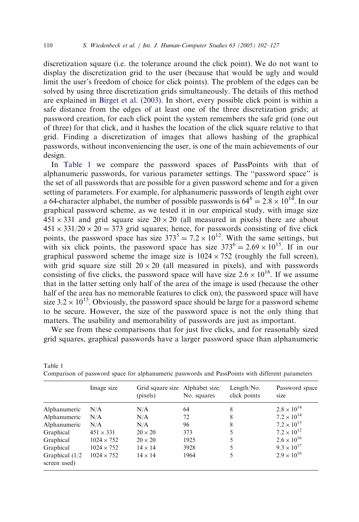discretization square (i.e. the tolerance around the click point). We do not want to display the discretization grid to the user (because that would be ugly and would limit the user's f[reedom of choice fo](#page-24-0)r click points). The problem of the edges can be solved by using three discretization grids simultaneously. The details of this method are explained in Birget et al. (2003). In short, every possible click point is within a safe distance from the edges of at least one of the three discretization grids; at password creation, for each click point the system remembers the safe grid (one out of three) for that click, and it hashes the location of the click square relative to that grid. Finding a discretization of images that allows hashing of the graphical passwords, without inconveniencing the user, is one of the main achievements of our design.

In Table 1 we compare the password spaces of PassPoints with that of alphanumeric passwords, for various parameter settings. The ''password space'' is the set of all passwords that are possible for a given password scheme and for a given setting of parameters. For example, for alphanumeric passwords of length eight over a 64-character alphabet, the number of possible passwords is  $64^8 = 2.8 \times 10^{14}$ . In our graphical password scheme, as we tested it in our empirical study, with image size  $451 \times 331$  and grid square size  $20 \times 20$  (all measured in pixels) there are about  $451 \times 331/20 \times 20 = 373$  grid squares; hence, for passwords consisting of five click points, the password space has size  $373^5 = 7.2 \times 10^{12}$ . With the same settings, but with six click points, the password space has size  $373^6 = 2.69 \times 10^{15}$ . If in our graphical password scheme the image size is  $1024 \times 752$  (roughly the full screen), with grid square size still  $20 \times 20$  (all measured in pixels), and with passwords consisting of five clicks, the password space will have size  $2.6 \times 10^{16}$ . If we assume that in the latter setting only half of the area of the image is used (because the other half of the area has no memorable features to click on), the password space will have size  $3.2 \times 10^{15}$ . Obviously, the password space should be large for a password scheme to be secure. However, the size of the password space is not the only thing that matters. The usability and memorability of passwords are just as important.

We see from these comparisons that for just five clicks, and for reasonably sized grid squares, graphical passwords have a larger password space than alphanumeric

|                                 | Image size        | Grid square size Alphabet size<br>(pixels) | No. squares | Length/ $No.$<br>click points | Password space<br>size |
|---------------------------------|-------------------|--------------------------------------------|-------------|-------------------------------|------------------------|
| Alphanumeric                    | N/A               | N/A                                        | 64          | 8                             | $2.8 \times 10^{14}$   |
| Alphanumeric                    | N/A               | N/A                                        | 72          | 8                             | $7.2 \times 10^{14}$   |
| Alphanumeric                    | N/A               | N/A                                        | 96          | 8                             | $7.2 \times 10^{15}$   |
| Graphical                       | $451 \times 331$  | $20 \times 20$                             | 373         |                               | $7.2 \times 10^{12}$   |
| Graphical                       | $1024 \times 752$ | $20 \times 20$                             | 1925        |                               | $2.6 \times 10^{16}$   |
| Graphical                       | $1024 \times 752$ | $14 \times 14$                             | 3928        |                               | $9.3 \times 10^{17}$   |
| Graphical (1/2)<br>screen used) | $1024 \times 752$ | $14 \times 14$                             | 1964        |                               | $2.9 \times 10^{16}$   |

|  |  | Comparison of password space for alphanumeric passwords and PassPoints with different parameters |  |  |
|--|--|--------------------------------------------------------------------------------------------------|--|--|
|  |  |                                                                                                  |  |  |

<span id="page-8-0"></span>

Table 1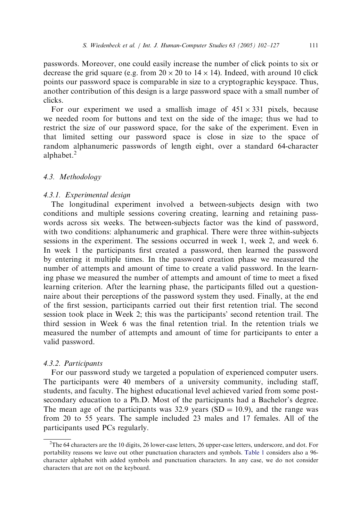passwords. Moreover, one could easily increase the number of click points to six or decrease the grid square (e.g. from  $20 \times 20$  to  $14 \times 14$ ). Indeed, with around 10 click points our password space is comparable in size to a cryptographic keyspace. Thus, another contribution of this design is a large password space with a small number of clicks.

For our experiment we used a smallish image of  $451 \times 331$  pixels, because we needed room for buttons and text on the side of the image; thus we had to restrict the size of our password space, for the sake of the experiment. Even in that limited setting our password space is close in size to the space of random alphanumeric passwords of length eight, over a standard 64-character alphabet.<sup>2</sup>

# 4.3. Methodology

## 4.3.1. Experimental design

The longitudinal experiment involved a between-subjects design with two conditions and multiple sessions covering creating, learning and retaining passwords across six weeks. The between-subjects factor was the kind of password, with two conditions: alphanumeric and graphical. There were three within-subjects sessions in the experiment. The sessions occurred in week 1, week 2, and week 6. In week 1 the participants first created a password, then learned the password by entering it multiple times. In the password creation phase we measured the number of attempts and amount of time to create a valid password. In the learning phase we measured the number of attempts and amount of time to meet a fixed learning criterion. After the learning phase, the participants filled out a questionnaire about their perceptions of the password system they used. Finally, at the end of the first session, participants carried out their first retention trial. The second session took place in Week 2; this was the participants' second retention trail. The third session in Week 6 was the final retention trial. In the retention trials we measured the number of attempts and amount of time for participants to enter a valid password.

#### 4.3.2. Participants

For our password study we targeted a population of experienced computer users. The participants were 40 members of a university community, including staff, students, and faculty. The highest educational level achieved varied from some postsecondary education to a Ph.D. Most of the participants had a Bachelor's degree. The mean age of the participants was 32.9 years ( $SD = 10.9$ ), and the range was from 20 to 55 years. The sample included 23 males and 17 females. All of the participants used PCs regularly.

<sup>&</sup>lt;sup>2</sup>The 64 characters are the 10 digits, 26 lower-case letters, 26 upper-case letters, underscore, and dot. For portability reasons we leave out other punctuation characters and symbols. Table 1 considers also a 96 character alphabet with added symbols and punctuation characters. In any case, we do not consider characters that are not on the keyboard.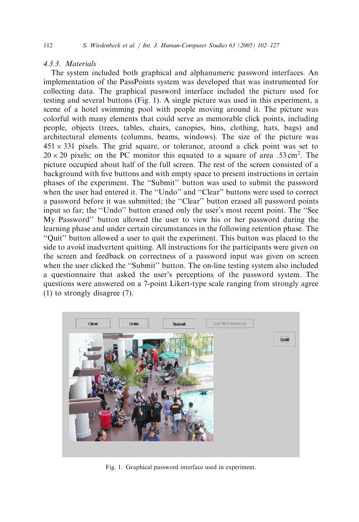## <span id="page-10-0"></span>4.3.3. Materials

The system included both graphical and alphanumeric password interfaces. An implementation of the PassPoints system was developed that was instrumented for collecting data. The graphical password interface included the picture used for testing and several buttons (Fig. 1). A single picture was used in this experiment, a scene of a hotel swimming pool with people moving around it. The picture was colorful with many elements that could serve as memorable click points, including people, objects (trees, tables, chairs, canopies, bins, clothing, hats, bags) and architectural elements (columns, beams, windows). The size of the picture was  $451 \times 331$  pixels. The grid square, or tolerance, around a click point was set to  $20 \times 20$  pixels; on the PC monitor this equated to a square of area .53 cm<sup>2</sup>. The picture occupied about half of the full screen. The rest of the screen consisted of a background with five buttons and with empty space to present instructions in certain phases of the experiment. The ''Submit'' button was used to submit the password when the user had entered it. The "Undo" and "Clear" buttons were used to correct a password before it was submitted; the ''Clear'' button erased all password points input so far; the ''Undo'' button erased only the user's most recent point. The ''See My Password'' button allowed the user to view his or her password during the learning phase and under certain circumstances in the following retention phase. The ''Quit'' button allowed a user to quit the experiment. This button was placed to the side to avoid inadvertent quitting. All instructions for the participants were given on the screen and feedback on correctness of a password input was given on screen when the user clicked the ''Submit'' button. The on-line testing system also included a questionnaire that asked the user's perceptions of the password system. The questions were answered on a 7-point Likert-type scale ranging from strongly agree (1) to strongly disagree (7).



Fig. 1. Graphical password interface used in experiment.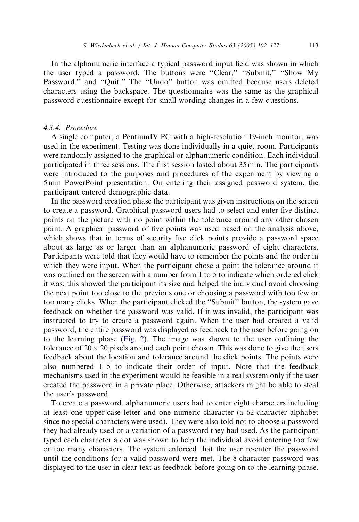In the alphanumeric interface a typical password input field was shown in which the user typed a password. The buttons were ''Clear,'' ''Submit,'' ''Show My Password,'' and ''Quit.'' The ''Undo'' button was omitted because users deleted characters using the backspace. The questionnaire was the same as the graphical password questionnaire except for small wording changes in a few questions.

# 4.3.4. Procedure

A single computer, a PentiumIV PC with a high-resolution 19-inch monitor, was used in the experiment. Testing was done individually in a quiet room. Participants were randomly assigned to the graphical or alphanumeric condition. Each individual participated in three sessions. The first session lasted about 35 min. The participants were introduced to the purposes and procedures of the experiment by viewing a 5 min PowerPoint presentation. On entering their assigned password system, the participant entered demographic data.

In the password creation phase the participant was given instructions on the screen to create a password. Graphical password users had to select and enter five distinct points on the picture with no point within the tolerance around any other chosen point. A graphical password of five points was used based on the analysis above, which shows that in terms of security five click points provide a password space about as large as or larger than an alphanumeric password of eight characters. Participants were told that they would have to remember the points and the order in which they were input. When the participant chose a point the tolerance around it was outlined on the screen with a number from 1 to 5 to indicate which ordered click it was; this showed the participant its size and helped the individual avoid choosing the next point too close to the previous one or choosing a password with too few or too many clicks. When the participant clicked the ''Submit'' button, the system gave feedback on whether the password was valid. If it was invalid, the participant was instructed to try to cre[ate a p](#page-12-0)assword again. When the user had created a valid password, the entire password was displayed as feedback to the user before going on to the learning phase (Fig. 2). The image was shown to the user outlining the tolerance of  $20 \times 20$  pixels around each point chosen. This was done to give the users feedback about the location and tolerance around the click points. The points were also numbered 1–5 to indicate their order of input. Note that the feedback mechanisms used in the experiment would be feasible in a real system only if the user created the password in a private place. Otherwise, attackers might be able to steal the user's password.

To create a password, alphanumeric users had to enter eight characters including at least one upper-case letter and one numeric character (a 62-character alphabet since no special characters were used). They were also told not to choose a password they had already used or a variation of a password they had used. As the participant typed each character a dot was shown to help the individual avoid entering too few or too many characters. The system enforced that the user re-enter the password until the conditions for a valid password were met. The 8-character password was displayed to the user in clear text as feedback before going on to the learning phase.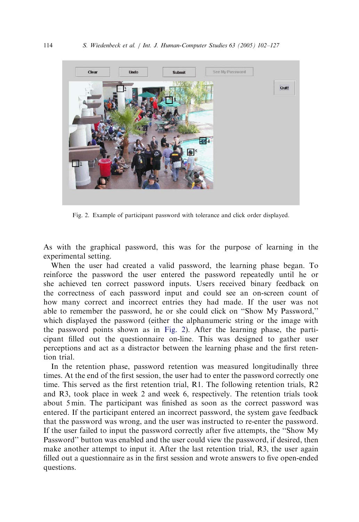<span id="page-12-0"></span>

Fig. 2. Example of participant password with tolerance and click order displayed.

As with the graphical password, this was for the purpose of learning in the experimental setting.

When the user had created a valid password, the learning phase began. To reinforce the password the user entered the password repeatedly until he or she achieved ten correct password inputs. Users received binary feedback on the correctness of each password input and could see an on-screen count of how many correct and incorrect entries they had made. If the user was not able to remember the password, he or she could click on ''Show My Password,'' which displayed the password (either the alphanumeric string or the image with the password points shown as in Fig. 2). After the learning phase, the participant filled out the questionnaire on-line. This was designed to gather user perceptions and act as a distractor between the learning phase and the first retention trial.

In the retention phase, password retention was measured longitudinally three times. At the end of the first session, the user had to enter the password correctly one time. This served as the first retention trial, R1. The following retention trials, R2 and R3, took place in week 2 and week 6, respectively. The retention trials took about 5 min. The participant was finished as soon as the correct password was entered. If the participant entered an incorrect password, the system gave feedback that the password was wrong, and the user was instructed to re-enter the password. If the user failed to input the password correctly after five attempts, the ''Show My Password'' button was enabled and the user could view the password, if desired, then make another attempt to input it. After the last retention trial, R3, the user again filled out a questionnaire as in the first session and wrote answers to five open-ended questions.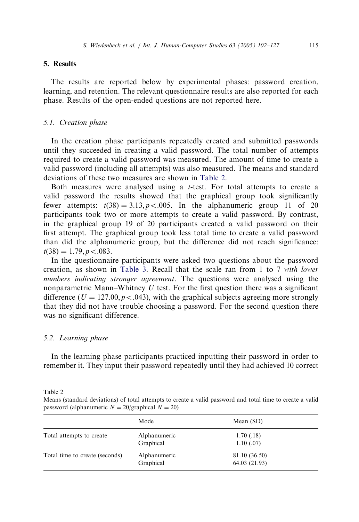# 5. Results

The results are reported below by experimental phases: password creation, learning, and retention. The relevant questionnaire results are also reported for each phase. Results of the open-ended questions are not reported here.

# 5.1. Creation phase

In the creation phase participants repeatedly created and submitted passwords until they succeeded in creating a valid password. The total number of attempts required to create a valid password was measured. The amount of time to create a valid password (including all attempts) was also measured. The means and standard deviations of these two measures are shown in Table 2.

Both measures were analysed using a t-test. For total attempts to create a valid password the results showed that the graphical group took significantly fewer attempts:  $t(38) = 3.13, p < .005$ . In the alphanumeric group 11 of 20 participants took two or more attempts to create a valid password. By contrast, in the graphical group 19 of 20 participants created a valid password on their first attempt. The graphical group took less total time to create a valid password than did the alphanumeric group, but the difference did not reach significance:  $t(38) = 1.79, p < .083.$ 

In the questionnaire participants were asked two questions about the password creation, as shown in Table 3. Recall that the scale ran from 1 to 7 with lower numbers indicating stronger agreement. The questions were analysed using the nonparametric Mann–Whitney  $U$  test. For the first question there was a significant difference ( $U = 127.00, p < .043$ ), with the graphical subjects agreeing more strongly that they did not have trouble choosing a password. For the second question there was no significant difference.

# 5.2. Learning phase

In the learning phase participants practiced inputting their password in order to remember it. They input their password repeatedly until they had achieved 10 correct

Table 2

Means (standard deviations) of total attempts to create a valid password and total time to create a valid password (alphanumeric  $N = 20$ /graphical  $N = 20$ )

|                                | Mode                      | Mean (SD)                      |  |
|--------------------------------|---------------------------|--------------------------------|--|
| Total attempts to create       | Alphanumeric<br>Graphical | 1.70(0.18)<br>1.10(0.07)       |  |
| Total time to create (seconds) | Alphanumeric<br>Graphical | 81.10 (36.50)<br>64.03 (21.93) |  |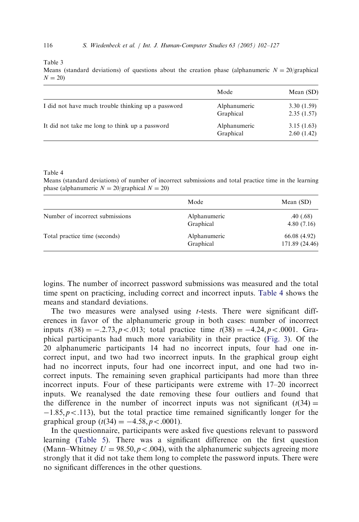Means (standard deviations) of questions about the creation phase (alphanumeric  $N = 20/$ graphical  $N = 20$ 

|                                                    | Mode                      | Mean (SD)                |
|----------------------------------------------------|---------------------------|--------------------------|
| I did not have much trouble thinking up a password | Alphanumeric<br>Graphical | 3.30(1.59)<br>2.35(1.57) |
| It did not take me long to think up a password     | Alphanumeric<br>Graphical | 3.15(1.63)<br>2.60(1.42) |

Table 4

Means (standard deviations) of number of incorrect submissions and total practice time in the learning phase (alphanumeric  $N = 20$ /graphical  $N = 20$ )

|                                 | Mode                      | Mean (SD)                      |
|---------------------------------|---------------------------|--------------------------------|
| Number of incorrect submissions | Alphanumeric<br>Graphical | .40(0.68)<br>4.80(7.16)        |
| Total practice time (seconds)   | Alphanumeric<br>Graphical | 66.08 (4.92)<br>171.89 (24.46) |

logins. The number of incorrect password submissions was measured and the total time spent on practicing, including correct and incorrect inputs. Table 4 shows the means and standard deviations.

The two measures were analysed using  $t$ -tests. There were significant differences in favor of the alphanumeric group in both cases: num[ber of](#page-15-0) incorrect inputs  $t(38) = -.2.73, p < .013$ ; total practice time  $t(38) = -4.24, p < .0001$ . Graphical participants had much more variability in their practice (Fig. 3). Of the 20 alphanumeric participants 14 had no incorrect inputs, four had one incorrect input, and two had two incorrect inputs. In the graphical group eight had no incorrect inputs, four had one incorrect input, and one had two incorrect inputs. The remaining seven graphical participants had more than three incorrect inputs. Four of these participants were extreme with 17–20 incorrect inputs. We reanalysed the date removing these four outliers and found that the difference in the number of incorrect inputs was not significant  $(t(34)$  =  $-1.85, p < 113$ ), but the total practice time remained significantly longer for the graphical group  $(t(34) = -4.58, p < .0001)$ .

In the questionnaire, participants were asked five questions relevant to password learning (Table 5). There was a significant difference on the first question (Mann–Whitney  $U = 98.50, p < .004$ ), with the alphanumeric subjects agreeing more strongly that it did not take them long to complete the password inputs. There were no significant differences in the other questions.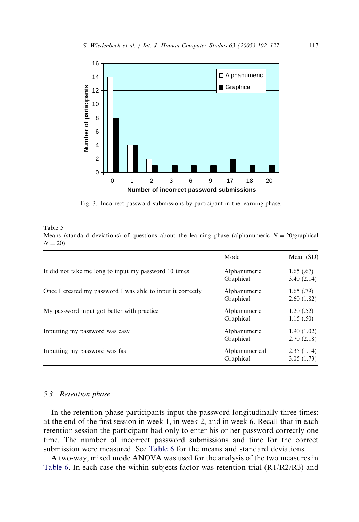<span id="page-15-0"></span>

Fig. 3. Incorrect password submissions by participant in the learning phase.

Means (standard deviations) of questions about the learning phase (alphanumeric  $N = 20/\text{graphical}$ )  $N = 20$ 

|                                                             | Mode                        | Mean $(SD)$              |
|-------------------------------------------------------------|-----------------------------|--------------------------|
| It did not take me long to input my password 10 times       | Alphanumeric<br>Graphical   | 1.65(0.67)<br>3.40(2.14) |
| Once I created my password I was able to input it correctly | Alphanumeric<br>Graphical   | 1.65(0.79)<br>2.60(1.82) |
| My password input got better with practice                  | Alphanumeric<br>Graphical   | 1.20(0.52)<br>1.15(.50)  |
| Inputting my password was easy                              | Alphanumeric<br>Graphical   | 1.90(1.02)<br>2.70(2.18) |
| Inputting my password was fast                              | Alphanumerical<br>Graphical | 2.35(1.14)<br>3.05(1.73) |

## 5.3. Retention phase

In the retention phase participants input the password longitudinally three times: at the end of the first session in week 1, in week 2, and in week 6. Recall that in each retention session the participant [had onl](#page-16-0)y to enter his or her password correctly one time. The number of incorrect password submissions and time for the correct [submiss](#page-16-0)ion were measured. See Table 6 for the means and standard deviations.

A two-way, mixed mode ANOVA was used for the analysis of the two measures in Table 6. In each case the within-subjects factor was retention trial  $(R1/R2/R3)$  and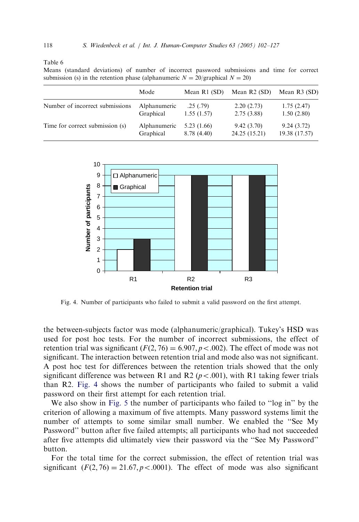Means (standard deviations) of number of incorrect password submissions and time for correct submission (s) in the retention phase (alphanumeric  $N = 20$ /graphical  $N = 20$ )

|                                 | Mode         | Mean $R1(SD)$ | Mean $R2(SD)$ | Mean $R3(SD)$ |
|---------------------------------|--------------|---------------|---------------|---------------|
| Number of incorrect submissions | Alphanumeric | .25(.79)      | 2.20(2.73)    | 1.75(2.47)    |
|                                 | Graphical    | 1.55(1.57)    | 2.75(3.88)    | 1.50(2.80)    |
| Time for correct submission (s) | Alphanumeric | 5.23(1.66)    | 9.42(3.70)    | 9.24(3.72)    |
|                                 | Graphical    | 8.78 (4.40)   | 24.25 (15.21) | 19.38 (17.57) |



Fig. 4. Number of participants who failed to submit a valid password on the first attempt.

the between-subjects factor was mode (alphanumeric/graphical). Tukey's HSD was used for post hoc tests. For the number of incorrect submissions, the effect of retention trial was significant ( $F(2, 76) = 6.907$ ,  $p < .002$ ). The effect of mode was not significant. The interaction between retention trial and mode also was not significant. A post hoc test for differences between the retention trials showed that the only significant difference was between R1 and R2 ( $p < .001$ ), with R1 taking fewer trials than R2. Fig. 4 s[hows th](#page-17-0)e number of participants who failed to submit a valid password on their first attempt for each retention trial.

We also show in Fig. 5 the number of participants who failed to "log in" by the criterion of allowing a maximum of five attempts. Many password systems limit the number of attempts to some similar small number. We enabled the ''See My Password'' button after five failed attempts; all participants who had not succeeded after five attempts did ultimately view their password via the ''See My Password'' button.

For the total time for the correct submission, the effect of retention trial was significant  $(F(2, 76) = 21.67, p < .0001)$ . The effect of mode was also significant

<span id="page-16-0"></span>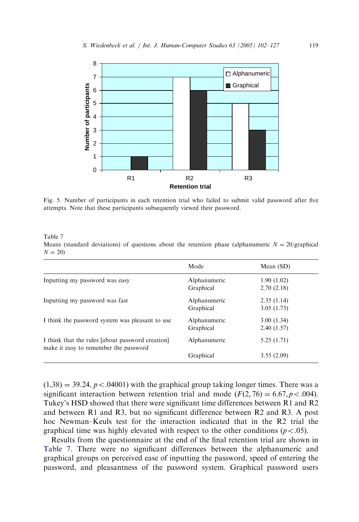<span id="page-17-0"></span>

Fig. 5. Number of participants in each retention trial who failed to submit valid password after five attempts. Note that these participants subsequently viewed their password.

Means (standard deviations) of questions about the retention phase (alphanumeric  $N = 20/\text{graphical}$  $N = 20$ 

|                                                  | Mode                      | Mean (SD)                |
|--------------------------------------------------|---------------------------|--------------------------|
| Inputting my password was easy                   | Alphanumeric<br>Graphical | 1.90(1.02)<br>2.70(2.18) |
| Inputting my password was fast                   | Alphanumeric<br>Graphical | 2.35(1.14)<br>3.05(1.73) |
| I think the password system was pleasant to use  | Alphanumeric<br>Graphical | 3.00(1.34)<br>2.40(1.57) |
| I think that the rules [about password creation] | Alphanumeric              | 5.25(1.71)               |
| make it easy to remember the password            | Graphical                 | 3.55(2.09)               |

 $(1,38) = 39.24$ ,  $p < .04001$ ) with the graphical group taking longer times. There was a significant interaction between retention trial and mode ( $F(2, 76) = 6.67$ ,  $p < .004$ ). Tukey's HSD showed that there were significant time differences between R1 and R2 and between R1 and R3, but no significant difference between R2 and R3. A post hoc Newman–Keuls test for the interaction indicated that in the R2 trial the graphical time was highly elevated with respect to the other conditions ( $p < .05$ ).

Results from the questionnaire at the end of the final retention trial are shown in Table 7. There were no significant differences between the alphanumeric and graphical groups on perceived ease of inputting the password, speed of entering the password, and pleasantness of the password system. Graphical password users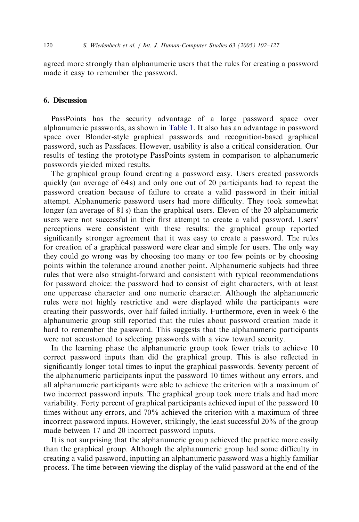agreed more strongly than alphanumeric users that the rules for creating a password made it easy to remember the password.

# 6. Discussion

PassPoints has the security advantage of a large password space over alphanumeric passwords, as shown in Table 1. It also has an advantage in password space over Blonder-style graphical passwords and recognition-based graphical password, such as Passfaces. However, usability is also a critical consideration. Our results of testing the prototype PassPoints system in comparison to alphanumeric passwords yielded mixed results.

The graphical group found creating a password easy. Users created passwords quickly (an average of 64 s) and only one out of 20 participants had to repeat the password creation because of failure to create a valid password in their initial attempt. Alphanumeric password users had more difficulty. They took somewhat longer (an average of 81 s) than the graphical users. Eleven of the 20 alphanumeric users were not successful in their first attempt to create a valid password. Users' perceptions were consistent with these results: the graphical group reported significantly stronger agreement that it was easy to create a password. The rules for creation of a graphical password were clear and simple for users. The only way they could go wrong was by choosing too many or too few points or by choosing points within the tolerance around another point. Alphanumeric subjects had three rules that were also straight-forward and consistent with typical recommendations for password choice: the password had to consist of eight characters, with at least one uppercase character and one numeric character. Although the alphanumeric rules were not highly restrictive and were displayed while the participants were creating their passwords, over half failed initially. Furthermore, even in week 6 the alphanumeric group still reported that the rules about password creation made it hard to remember the password. This suggests that the alphanumeric participants were not accustomed to selecting passwords with a view toward security.

In the learning phase the alphanumeric group took fewer trials to achieve 10 correct password inputs than did the graphical group. This is also reflected in significantly longer total times to input the graphical passwords. Seventy percent of the alphanumeric participants input the password 10 times without any errors, and all alphanumeric participants were able to achieve the criterion with a maximum of two incorrect password inputs. The graphical group took more trials and had more variability. Forty percent of graphical participants achieved input of the password 10 times without any errors, and 70% achieved the criterion with a maximum of three incorrect password inputs. However, strikingly, the least successful 20% of the group made between 17 and 20 incorrect password inputs.

It is not surprising that the alphanumeric group achieved the practice more easily than the graphical group. Although the alphanumeric group had some difficulty in creating a valid password, inputting an alphanumeric password was a highly familiar process. The time between viewing the display of the valid password at the end of the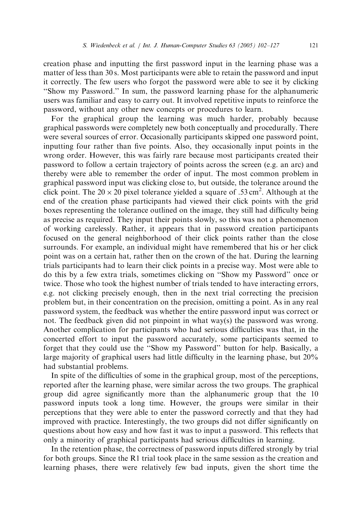creation phase and inputting the first password input in the learning phase was a matter of less than 30 s. Most participants were able to retain the password and input it correctly. The few users who forgot the password were able to see it by clicking ''Show my Password.'' In sum, the password learning phase for the alphanumeric users was familiar and easy to carry out. It involved repetitive inputs to reinforce the password, without any other new concepts or procedures to learn.

For the graphical group the learning was much harder, probably because graphical passwords were completely new both conceptually and procedurally. There were several sources of error. Occasionally participants skipped one password point, inputting four rather than five points. Also, they occasionally input points in the wrong order. However, this was fairly rare because most participants created their password to follow a certain trajectory of points across the screen (e.g. an arc) and thereby were able to remember the order of input. The most common problem in graphical password input was clicking close to, but outside, the tolerance around the click point. The  $20 \times 20$  pixel tolerance yielded a square of .53 cm<sup>2</sup>. Although at the end of the creation phase participants had viewed their click points with the grid boxes representing the tolerance outlined on the image, they still had difficulty being as precise as required. They input their points slowly, so this was not a phenomenon of working carelessly. Rather, it appears that in password creation participants focused on the general neighborhood of their click points rather than the close surrounds. For example, an individual might have remembered that his or her click point was on a certain hat, rather then on the crown of the hat. During the learning trials participants had to learn their click points in a precise way. Most were able to do this by a few extra trials, sometimes clicking on ''Show my Password'' once or twice. Those who took the highest number of trials tended to have interacting errors, e.g. not clicking precisely enough, then in the next trial correcting the precision problem but, in their concentration on the precision, omitting a point. As in any real password system, the feedback was whether the entire password input was correct or not. The feedback given did not pinpoint in what way(s) the password was wrong. Another complication for participants who had serious difficulties was that, in the concerted effort to input the password accurately, some participants seemed to forget that they could use the ''Show my Password'' button for help. Basically, a large majority of graphical users had little difficulty in the learning phase, but 20% had substantial problems.

In spite of the difficulties of some in the graphical group, most of the perceptions, reported after the learning phase, were similar across the two groups. The graphical group did agree significantly more than the alphanumeric group that the 10 password inputs took a long time. However, the groups were similar in their perceptions that they were able to enter the password correctly and that they had improved with practice. Interestingly, the two groups did not differ significantly on questions about how easy and how fast it was to input a password. This reflects that only a minority of graphical participants had serious difficulties in learning.

In the retention phase, the correctness of password inputs differed strongly by trial for both groups. Since the R1 trial took place in the same session as the creation and learning phases, there were relatively few bad inputs, given the short time the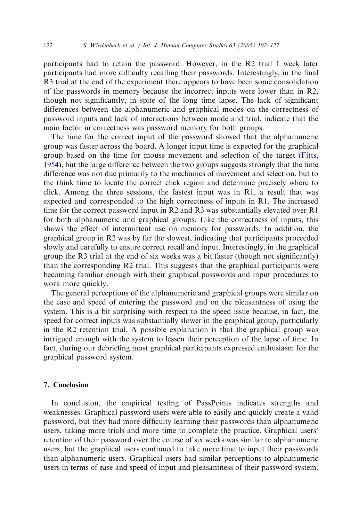participants had to retain the password. However, in the R2 trial 1 week later participants had more difficulty recalling their passwords. Interestingly, in the final R3 trial at the end of the experiment there appears to have been some consolidation of the passwords in memory because the incorrect inputs were lower than in R2, though not significantly, in spite of the long time lapse. The lack of significant differences between the alphanumeric and graphical modes on the correctness of password inputs and lack of interactions between mode and trial, indicate that the main factor in correctness was password memory for both groups.

The time for the correct input of the password showed that the alphanu[meric](#page-24-0) [group](#page-24-0) was faster across the board. A longer input time is expected for the graphical group based on the time for mouse movement and selection of the target (Fitts, 1954), but the large difference between the two groups suggests strongly that the time difference was not due primarily to the mechanics of movement and selection, but to the think time to locate the correct click region and determine precisely where to click. Among the three sessions, the fastest input was in R1, a result that was expected and corresponded to the high correctness of inputs in R1. The increased time for the correct password input in R2 and R3 was substantially elevated over R1 for both alphanumeric and graphical groups. Like the correctness of inputs, this shows the effect of intermittent use on memory for passwords. In addition, the graphical group in R2 was by far the slowest, indicating that participants proceeded slowly and carefully to ensure correct recall and input. Interestingly, in the graphical group the R3 trial at the end of six weeks was a bit faster (though not significantly) than the corresponding R2 trial. This suggests that the graphical participants were becoming familiar enough with their graphical passwords and input procedures to work more quickly.

The general perceptions of the alphanumeric and graphical groups were similar on the ease and speed of entering the password and on the pleasantness of using the system. This is a bit surprising with respect to the speed issue because, in fact, the speed for correct inputs was substantially slower in the graphical group, particularly in the R2 retention trial. A possible explanation is that the graphical group was intrigued enough with the system to lessen their perception of the lapse of time. In fact, during our debriefing most graphical participants expressed enthusiasm for the graphical password system.

# 7. Conclusion

In conclusion, the empirical testing of PassPoints indicates strengths and weaknesses. Graphical password users were able to easily and quickly create a valid password, but they had more difficulty learning their passwords than alphanumeric users, taking more trials and more time to complete the practice. Graphical users' retention of their password over the course of six weeks was similar to alphanumeric users, but the graphical users continued to take more time to input their passwords than alphanumeric users. Graphical users had similar perceptions to alphanumeric users in terms of ease and speed of input and pleasantness of their password system.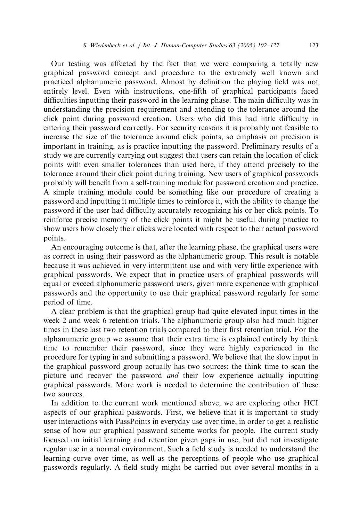Our testing was affected by the fact that we were comparing a totally new graphical password concept and procedure to the extremely well known and practiced alphanumeric password. Almost by definition the playing field was not entirely level. Even with instructions, one-fifth of graphical participants faced difficulties inputting their password in the learning phase. The main difficulty was in understanding the precision requirement and attending to the tolerance around the click point during password creation. Users who did this had little difficulty in entering their password correctly. For security reasons it is probably not feasible to increase the size of the tolerance around click points, so emphasis on precision is important in training, as is practice inputting the password. Preliminary results of a study we are currently carrying out suggest that users can retain the location of click points with even smaller tolerances than used here, if they attend precisely to the tolerance around their click point during training. New users of graphical passwords probably will benefit from a self-training module for password creation and practice. A simple training module could be something like our procedure of creating a password and inputting it multiple times to reinforce it, with the ability to change the password if the user had difficulty accurately recognizing his or her click points. To reinforce precise memory of the click points it might be useful during practice to show users how closely their clicks were located with respect to their actual password points.

An encouraging outcome is that, after the learning phase, the graphical users were as correct in using their password as the alphanumeric group. This result is notable because it was achieved in very intermittent use and with very little experience with graphical passwords. We expect that in practice users of graphical passwords will equal or exceed alphanumeric password users, given more experience with graphical passwords and the opportunity to use their graphical password regularly for some period of time.

A clear problem is that the graphical group had quite elevated input times in the week 2 and week 6 retention trials. The alphanumeric group also had much higher times in these last two retention trials compared to their first retention trial. For the alphanumeric group we assume that their extra time is explained entirely by think time to remember their password, since they were highly experienced in the procedure for typing in and submitting a password. We believe that the slow input in the graphical password group actually has two sources: the think time to scan the picture and recover the password and their low experience actually inputting graphical passwords. More work is needed to determine the contribution of these two sources.

In addition to the current work mentioned above, we are exploring other HCI aspects of our graphical passwords. First, we believe that it is important to study user interactions with PassPoints in everyday use over time, in order to get a realistic sense of how our graphical password scheme works for people. The current study focused on initial learning and retention given gaps in use, but did not investigate regular use in a normal environment. Such a field study is needed to understand the learning curve over time, as well as the perceptions of people who use graphical passwords regularly. A field study might be carried out over several months in a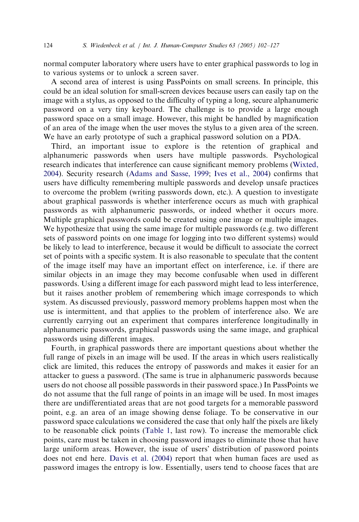normal computer laboratory where users have to enter graphical passwords to log in to various systems or to unlock a screen saver.

A second area of interest is using PassPoints on small screens. In principle, this could be an ideal solution for small-screen devices because users can easily tap on the image with a stylus, as opposed to the difficulty of typing a long, secure alphanumeric password on a very tiny keyboard. The challenge is to provide a large enough password space on a small image. However, this might be handled by magnification of an area of the image when the user moves the stylus to a given area of the screen. We have an early prototype of such a graphical password solution on a PDA.

Third, an important issue to explore is the retention of graphi[cal and](#page-25-0) [alpha](#page-25-0)numeric passwords [when users have mu](#page-24-0)l[tiple passwords.](#page-24-0) Psychological research indicates that interference can cause significant memory problems (Wixted, 2004). Security research (Adams and Sasse, 1999; Ives et al., 2004) confirms that users have difficulty remembering multiple passwords and develop unsafe practices to overcome the problem (writing passwords down, etc.). A question to investigate about graphical passwords is whether interference occurs as much with graphical passwords as with alphanumeric passwords, or indeed whether it occurs more. Multiple graphical passwords could be created using one image or multiple images. We hypothesize that using the same image for multiple passwords (e.g. two different sets of password points on one image for logging into two different systems) would be likely to lead to interference, because it would be difficult to associate the correct set of points with a specific system. It is also reasonable to speculate that the content of the image itself may have an important effect on interference, i.e. if there are similar objects in an image they may become confusable when used in different passwords. Using a different image for each password might lead to less interference, but it raises another problem of remembering which image corresponds to which system. As discussed previously, password memory problems happen most when the use is intermittent, and that applies to the problem of interference also. We are currently carrying out an experiment that compares interference longitudinally in alphanumeric passwords, graphical passwords using the same image, and graphical passwords using different images.

Fourth, in graphical passwords there are important questions about whether the full range of pixels in an image will be used. If the areas in which users realistically click are limited, this reduces the entropy of passwords and makes it easier for an attacker to guess a password. (The same is true in alphanumeric passwords because users do not choose all possible passwords in their password space.) In PassPoints we do not assume that the full range of points in an image will be used. In most images there are undifferentiated areas that are not good targets for a memorable password point, e.g. an area of an ima[ge showi](#page-8-0)ng dense foliage. To be conservative in our password space calculations we considered the case that only half the pixels are likely to be reasonable click points (Table 1, last row). To increase the memorable click points, care must be [taken in choosing p](#page-24-0)assword images to eliminate those that have large uniform areas. However, the issue of users' distribution of password points does not end here. Davis et al. (2004) report that when human faces are used as password images the entropy is low. Essentially, users tend to choose faces that are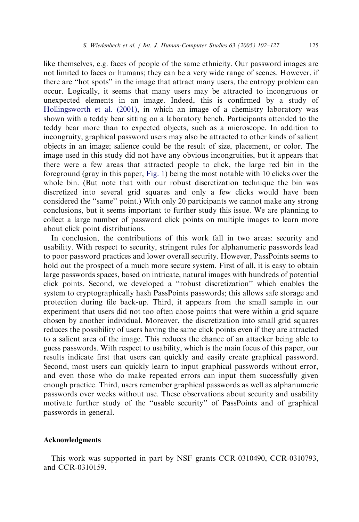like themselves, e.g. faces of people of the same ethnicity. Our password images are not limited to faces or humans; they can be a very wide range of scenes. However, if there are ''hot spots'' in the image that attract many users, the entropy problem can [occur. Logically, it seems t](#page-24-0)hat many users may be attracted to incongruous or unexpected elements in an image. Indeed, this is confirmed by a study of Hollingsworth et al. (2001), in which an image of a chemistry laboratory was shown with a teddy bear sitting on a laboratory bench. Participants attended to the teddy bear more than to expected objects, such as a microscope. In addition to incongruity, graphical password users may also be attracted to other kinds of salient objects in an image; salience could be the result of size, placement, or color. The image used in this study did n[ot have](#page-10-0) any obvious incongruities, but it appears that there were a few areas that attracted people to click, the large red bin in the foreground (gray in this paper, Fig. 1) being the most notable with 10 clicks over the whole bin. (But note that with our robust discretization technique the bin was discretized into several grid squares and only a few clicks would have been considered the ''same'' point.) With only 20 participants we cannot make any strong conclusions, but it seems important to further study this issue. We are planning to collect a large number of password click points on multiple images to learn more about click point distributions.

In conclusion, the contributions of this work fall in two areas: security and usability. With respect to security, stringent rules for alphanumeric passwords lead to poor password practices and lower overall security. However, PassPoints seems to hold out the prospect of a much more secure system. First of all, it is easy to obtain large passwords spaces, based on intricate, natural images with hundreds of potential click points. Second, we developed a ''robust discretization'' which enables the system to cryptographically hash PassPoints passwords; this allows safe storage and protection during file back-up. Third, it appears from the small sample in our experiment that users did not too often chose points that were within a grid square chosen by another individual. Moreover, the discretization into small grid squares reduces the possibility of users having the same click points even if they are attracted to a salient area of the image. This reduces the chance of an attacker being able to guess passwords. With respect to usability, which is the main focus of this paper, our results indicate first that users can quickly and easily create graphical password. Second, most users can quickly learn to input graphical passwords without error, and even those who do make repeated errors can input them successfully given enough practice. Third, users remember graphical passwords as well as alphanumeric passwords over weeks without use. These observations about security and usability motivate further study of the ''usable security'' of PassPoints and of graphical passwords in general.

# Acknowledgments

This work was supported in part by NSF grants CCR-0310490, CCR-0310793, and CCR-0310159.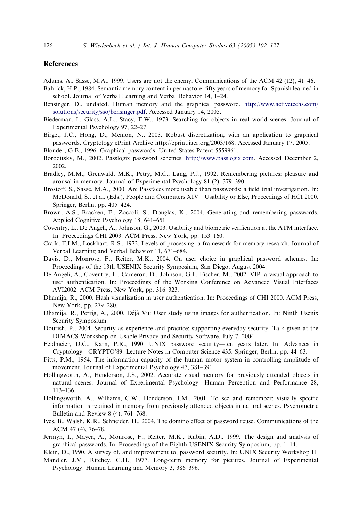## References

Adams, A., Sasse, M.A., 1999. Users are not the enemy. Communications of the ACM 42 (12), 41–46.

- Bahrick, H.P., 1984. Semantic memory content in permastore: fifty years of m[emory](http://www.activetechs.com/solutions/security/sso/bensinger.pdf) [for](http://www.activetechs.com/solutions/security/sso/bensinger.pdf) [Spanish](http://www.activetechs.com/solutions/security/sso/bensinger.pdf) [learned](http://www.activetechs.com/solutions/security/sso/bensinger.pdf) [in](http://www.activetechs.com/solutions/security/sso/bensinger.pdf) [school.](http://www.activetechs.com/solutions/security/sso/bensinger.pdf) [Journal](http://www.activetechs.com/solutions/security/sso/bensinger.pdf) [of](http://www.activetechs.com/solutions/security/sso/bensinger.pdf) [Verbal](http://www.activetechs.com/solutions/security/sso/bensinger.pdf) [Learning](http://www.activetechs.com/solutions/security/sso/bensinger.pdf) and Verbal Behavior 14, 1–24.
- Bensinger, D., undated. Human memory and the graphical password. http://www.activetechs.com/ solutions/security/sso/bensinger.pdf. Accessed January 14, 2005.
- Biederman, I., Glass, A.L., Stacy, E.W., [1973.](http://eprint.iacr.org/2003/168.) [Searching](http://eprint.iacr.org/2003/168.) [for](http://eprint.iacr.org/2003/168.) [objects](http://eprint.iacr.org/2003/168.) [in](http://eprint.iacr.org/2003/168.) [real](http://eprint.iacr.org/2003/168.) [world](http://eprint.iacr.org/2003/168.) [scenes.](http://eprint.iacr.org/2003/168.) [Journal](http://eprint.iacr.org/2003/168.) of Experimental Psychology 97, 22–27.
- Birget, J.C., Hong, D., Memon, N., 2003. Robust discretization, with an application to graphical passwords. Cryptology ePrint Archive http://eprin[t.iacr.org/2003/168. Access](http://www.passlogix.com)ed January 17, 2005.
- Blonder, G.E., 1996. Graphical passwords. United States Patent 5559961.
- Boroditsky, M., 2002. Passlogix password schemes. http://www.passlogix.com. Accessed December 2, 2002.
- Bradley, M.M., Grenwald, M.K., Petry, M.C., Lang, P.J., 1992. Remembering pictures: pleasure and arousal in memory. Journal of Experimental Psychology 81 (2), 379–390.
- Brostoff, S., Sasse, M.A., 2000. Are Passfaces more usable than passwords: a field trial investigation. In: McDonald, S., et al. (Eds.), People and Computers XIV—Usability or Else, Proceedings of HCI 2000. Springer, Berlin, pp. 405–424.
- Brown, A.S., Bracken, E., Zoccoli, S., Douglas, K., 2004. Generating and remembering passwords. Applied Cognitive Psychology 18, 641–651.
- Coventry, L., De Angeli, A., Johnson, G., 2003. Usability and biometric verification at the ATM interface. In: Proceedings CHI 2003. ACM Press, New York, pp. 153–160.
- Craik, F.I.M., Lockhart, R.S., 1972. Levels of processing: a framework for memory research. Journal of Verbal Learning and Verbal Behavior 11, 671–684.
- Davis, D., Monrose, F., Reiter, M.K., 2004. On user choice in graphical password schemes. In: Proceedings of the 13th USENIX Security Symposium, San Diego, August 2004.
- De Angeli, A., Coventry, L., Cameron, D., Johnson, G.I., Fischer, M., 2002. VIP: a visual approach to user authentication. In: Proceedings of the Working Conference on Advanced Visual Interfaces AVI2002. ACM Press, New York, pp. 316–323.
- Dhamija, R., 2000. Hash visualization in user authentication. In: Proceedings of CHI 2000. ACM Press, New York, pp. 279–280.
- Dhamija, R., Perrig, A., 2000. Déjà Vu: User study using images for authentication. In: Ninth Usenix Security Symposium.
- Dourish, P., 2004. Security as experience and practice: supporting everyday security. Talk given at the DIMACS Workshop on Usable Privacy and Security Software, July 7, 2004.
- Feldmeier, D.C., Karn, P.R., 1990. UNIX password security—ten years later. In: Advances in Cryptology—CRYPTO'89. Lecture Notes in Computer Science 435. Springer, Berlin, pp. 44–63.
- Fitts, P.M., 1954. The information capacity of the human motor system in controlling amplitude of movement. Journal of Experimental Psychology 47, 381–391.
- Hollingworth, A., Henderson, J.S., 2002. Accurate visual memory for previously attended objects in natural scenes. Journal of Experimental Psychology—Human Perception and Performance 28, 113–136.
- Hollingsworth, A., Williams, C.W., Henderson, J.M., 2001. To see and remember: visually specific information is retained in memory from previously attended objects in natural scenes. Psychometric Bulletin and Review 8 (4), 761–768.
- Ives, B., Walsh, K.R., Schneider, H., 2004. The domino effect of password reuse. Communications of the ACM 47 (4), 76–78.
- Jermyn, I., Mayer, A., Monrose, F., Reiter, M.K., Rubin, A.D., 1999. The design and analysis of graphical passwords. In: Proceedings of the Eighth USENIX Security Symposium, pp. 1–14.
- Klein, D., 1990. A survey of, and improvement to, password security. In: UNIX Security Workshop II.
- Mandler, J.M., Ritchey, G.H., 1977. Long-term memory for pictures. Journal of Experimental Psychology: Human Learning and Memory 3, 386–396.

<span id="page-24-0"></span>